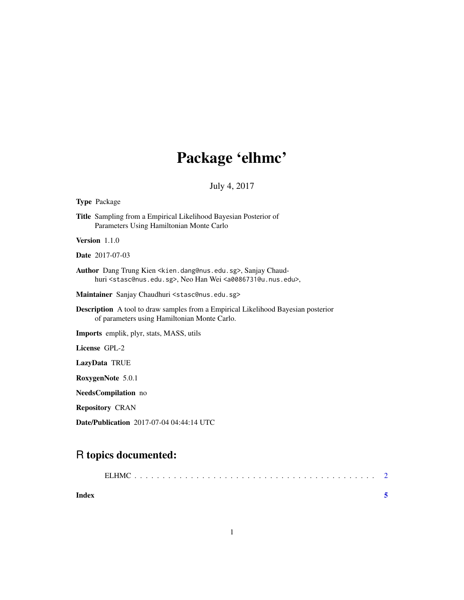## Package 'elhmc'

July 4, 2017

#### Type Package

Title Sampling from a Empirical Likelihood Bayesian Posterior of Parameters Using Hamiltonian Monte Carlo

Version 1.1.0

Date 2017-07-03

Author Dang Trung Kien <kien.dang@nus.edu.sg>, Sanjay Chaudhuri <stasc@nus.edu.sg>, Neo Han Wei <a0086731@u.nus.edu>,

Maintainer Sanjay Chaudhuri <stasc@nus.edu.sg>

Description A tool to draw samples from a Empirical Likelihood Bayesian posterior of parameters using Hamiltonian Monte Carlo.

Imports emplik, plyr, stats, MASS, utils

License GPL-2

LazyData TRUE

RoxygenNote 5.0.1

NeedsCompilation no

Repository CRAN

Date/Publication 2017-07-04 04:44:14 UTC

### R topics documented:

| Index |  |
|-------|--|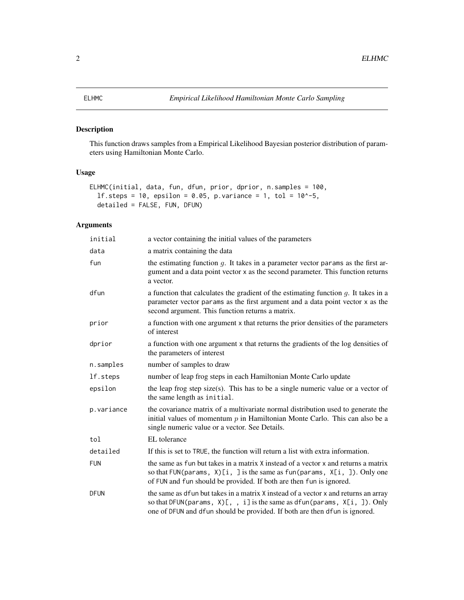#### <span id="page-1-0"></span>Description

This function draws samples from a Empirical Likelihood Bayesian posterior distribution of parameters using Hamiltonian Monte Carlo.

#### Usage

```
ELHMC(initial, data, fun, dfun, prior, dprior, n.samples = 100,
  1f. steps = 10, epsilon = 0.05, p.variance = 1, tol = 10^{\circ}-5,
  detailed = FALSE, FUN, DFUN)
```
#### Arguments

| initial    | a vector containing the initial values of the parameters                                                                                                                                                                                                       |
|------------|----------------------------------------------------------------------------------------------------------------------------------------------------------------------------------------------------------------------------------------------------------------|
| data       | a matrix containing the data                                                                                                                                                                                                                                   |
| fun        | the estimating function $q$ . It takes in a parameter vector params as the first ar-<br>gument and a data point vector x as the second parameter. This function returns<br>a vector.                                                                           |
| dfun       | a function that calculates the gradient of the estimating function $g$ . It takes in a<br>parameter vector params as the first argument and a data point vector x as the<br>second argument. This function returns a matrix.                                   |
| prior      | a function with one argument x that returns the prior densities of the parameters<br>of interest                                                                                                                                                               |
| dprior     | a function with one argument x that returns the gradients of the log densities of<br>the parameters of interest                                                                                                                                                |
| n.samples  | number of samples to draw                                                                                                                                                                                                                                      |
| lf.steps   | number of leap frog steps in each Hamiltonian Monte Carlo update                                                                                                                                                                                               |
| epsilon    | the leap frog step size(s). This has to be a single numeric value or a vector of<br>the same length as initial.                                                                                                                                                |
| p.variance | the covariance matrix of a multivariate normal distribution used to generate the<br>initial values of momentum $p$ in Hamiltonian Monte Carlo. This can also be a<br>single numeric value or a vector. See Details.                                            |
| tol        | EL tolerance                                                                                                                                                                                                                                                   |
| detailed   | If this is set to TRUE, the function will return a list with extra information.                                                                                                                                                                                |
| <b>FUN</b> | the same as fun but takes in a matrix X instead of a vector x and returns a matrix<br>so that FUN(params, $X[\iota, \iota]$ is the same as fun(params, $X[\iota, \iota]$ ). Only one<br>of FUN and fun should be provided. If both are then fun is ignored.    |
| DFUN       | the same as dfun but takes in a matrix X instead of a vector x and returns an array<br>so that DFUN(params, $X[\xi, \xi]$ , i] is the same as dfun(params, $X[\xi, \xi]$ ). Only<br>one of DFUN and dfun should be provided. If both are then dfun is ignored. |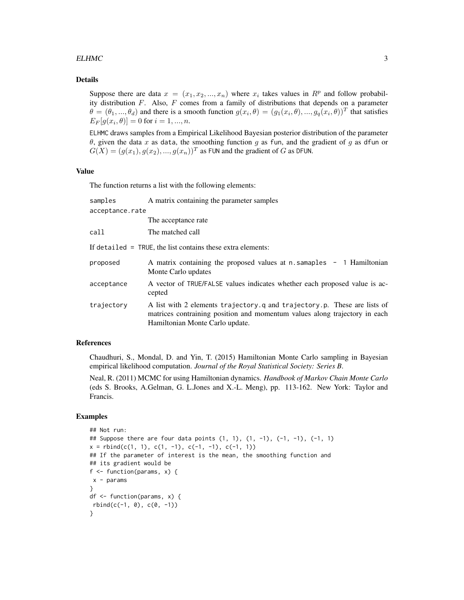#### $E$ *ELHMC*  $\qquad \qquad$  3

#### Details

Suppose there are data  $x = (x_1, x_2, ..., x_n)$  where  $x_i$  takes values in  $R^p$  and follow probability distribution  $F$ . Also,  $F$  comes from a family of distributions that depends on a parameter  $\theta = (\theta_1, ..., \theta_d)$  and there is a smooth function  $g(x_i, \theta) = (g_1(x_i, \theta), ..., g_q(x_i, \theta))^T$  that satisfies  $E_F[g(x_i, \theta)] = 0$  for  $i = 1, ..., n$ .

ELHMC draws samples from a Empirical Likelihood Bayesian posterior distribution of the parameter θ, given the data x as data, the smoothing function g as fun, and the gradient of g as dfun or  $G(X) = (g(x_1), g(x_2), ..., g(x_n))^T$  as FUN and the gradient of  $G$  as DFUN.

#### Value

The function returns a list with the following elements:

| samples                                                       | A matrix containing the parameter samples                                                                                                                                                 |  |  |  |
|---------------------------------------------------------------|-------------------------------------------------------------------------------------------------------------------------------------------------------------------------------------------|--|--|--|
| acceptance.rate                                               |                                                                                                                                                                                           |  |  |  |
|                                                               | The acceptance rate                                                                                                                                                                       |  |  |  |
| call                                                          | The matched call                                                                                                                                                                          |  |  |  |
| If detailed $=$ TRUE, the list contains these extra elements: |                                                                                                                                                                                           |  |  |  |
| proposed                                                      | A matrix containing the proposed values at n.samaples - 1 Hamiltonian<br>Monte Carlo updates                                                                                              |  |  |  |
| acceptance                                                    | A vector of TRUE/FALSE values indicates whether each proposed value is ac-<br>cepted                                                                                                      |  |  |  |
| trajectory                                                    | A list with 2 elements trajectory q and trajectory p. These are lists of<br>matrices contraining position and momentum values along trajectory in each<br>Hamiltonian Monte Carlo update. |  |  |  |

#### References

Chaudhuri, S., Mondal, D. and Yin, T. (2015) Hamiltonian Monte Carlo sampling in Bayesian empirical likelihood computation. *Journal of the Royal Statistical Society: Series B*.

Neal, R. (2011) MCMC for using Hamiltonian dynamics. *Handbook of Markov Chain Monte Carlo* (eds S. Brooks, A.Gelman, G. L.Jones and X.-L. Meng), pp. 113-162. New York: Taylor and Francis.

#### Examples

```
## Not run:
## Suppose there are four data points (1, 1), (1, -1), (-1, -1), (-1, 1)x = \text{rbind}(c(1, 1), c(1, -1), c(-1, -1), c(-1, 1))## If the parameter of interest is the mean, the smoothing function and
## its gradient would be
f <- function(params, x) {
x - params
}
df <- function(params, x) {
rbind(c(-1, 0), c(0, -1))}
```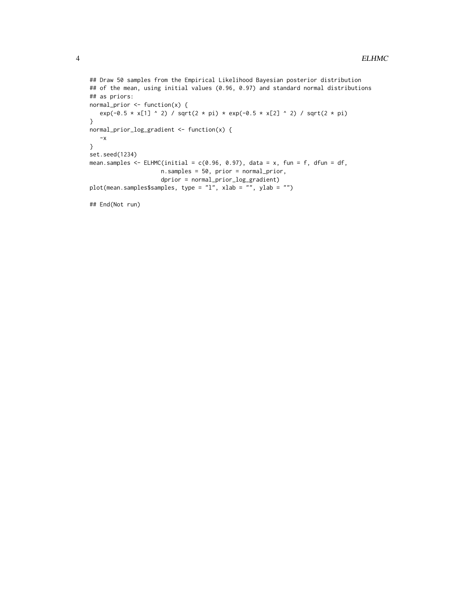```
## Draw 50 samples from the Empirical Likelihood Bayesian posterior distribution
## of the mean, using initial values (0.96, 0.97) and standard normal distributions
## as priors:
normal\_prior \leftarrow function(x) {
  exp(-0.5 * x[1] ^ 2) / sqrt(2 * pi) * exp(-0.5 * x[2] ^ 2) / sqrt(2 * pi)}
normal_prior_log_gradient <- function(x) {
  -x
}
set.seed(1234)
mean.samples \leq ELHMC(initial = c(0.96, 0.97), data = x, fun = f, dfun = df,
                     n.samples = 50, prior = normal_prior,
                     dprior = normal_prior_log_gradient)
plot(mean.samples$samples, type = "l", xlab = "", ylab = "")
```
## End(Not run)